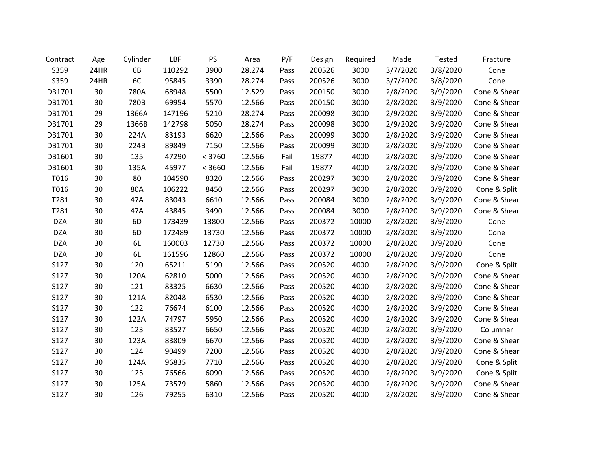| Contract   | Age  | Cylinder | LBF    | PSI    | Area   | P/F  | Design | Required | Made     | Tested   | Fracture     |
|------------|------|----------|--------|--------|--------|------|--------|----------|----------|----------|--------------|
| S359       | 24HR | 6B       | 110292 | 3900   | 28.274 | Pass | 200526 | 3000     | 3/7/2020 | 3/8/2020 | Cone         |
| S359       | 24HR | 6C       | 95845  | 3390   | 28.274 | Pass | 200526 | 3000     | 3/7/2020 | 3/8/2020 | Cone         |
| DB1701     | 30   | 780A     | 68948  | 5500   | 12.529 | Pass | 200150 | 3000     | 2/8/2020 | 3/9/2020 | Cone & Shear |
| DB1701     | 30   | 780B     | 69954  | 5570   | 12.566 | Pass | 200150 | 3000     | 2/8/2020 | 3/9/2020 | Cone & Shear |
| DB1701     | 29   | 1366A    | 147196 | 5210   | 28.274 | Pass | 200098 | 3000     | 2/9/2020 | 3/9/2020 | Cone & Shear |
| DB1701     | 29   | 1366B    | 142798 | 5050   | 28.274 | Pass | 200098 | 3000     | 2/9/2020 | 3/9/2020 | Cone & Shear |
| DB1701     | 30   | 224A     | 83193  | 6620   | 12.566 | Pass | 200099 | 3000     | 2/8/2020 | 3/9/2020 | Cone & Shear |
| DB1701     | 30   | 224B     | 89849  | 7150   | 12.566 | Pass | 200099 | 3000     | 2/8/2020 | 3/9/2020 | Cone & Shear |
| DB1601     | 30   | 135      | 47290  | < 3760 | 12.566 | Fail | 19877  | 4000     | 2/8/2020 | 3/9/2020 | Cone & Shear |
| DB1601     | 30   | 135A     | 45977  | < 3660 | 12.566 | Fail | 19877  | 4000     | 2/8/2020 | 3/9/2020 | Cone & Shear |
| T016       | 30   | 80       | 104590 | 8320   | 12.566 | Pass | 200297 | 3000     | 2/8/2020 | 3/9/2020 | Cone & Shear |
| T016       | 30   | 80A      | 106222 | 8450   | 12.566 | Pass | 200297 | 3000     | 2/8/2020 | 3/9/2020 | Cone & Split |
| T281       | 30   | 47A      | 83043  | 6610   | 12.566 | Pass | 200084 | 3000     | 2/8/2020 | 3/9/2020 | Cone & Shear |
| T281       | 30   | 47A      | 43845  | 3490   | 12.566 | Pass | 200084 | 3000     | 2/8/2020 | 3/9/2020 | Cone & Shear |
| <b>DZA</b> | 30   | 6D       | 173439 | 13800  | 12.566 | Pass | 200372 | 10000    | 2/8/2020 | 3/9/2020 | Cone         |
| <b>DZA</b> | 30   | 6D       | 172489 | 13730  | 12.566 | Pass | 200372 | 10000    | 2/8/2020 | 3/9/2020 | Cone         |
| <b>DZA</b> | 30   | 6L       | 160003 | 12730  | 12.566 | Pass | 200372 | 10000    | 2/8/2020 | 3/9/2020 | Cone         |
| <b>DZA</b> | 30   | 6L       | 161596 | 12860  | 12.566 | Pass | 200372 | 10000    | 2/8/2020 | 3/9/2020 | Cone         |
| S127       | 30   | 120      | 65211  | 5190   | 12.566 | Pass | 200520 | 4000     | 2/8/2020 | 3/9/2020 | Cone & Split |
| S127       | 30   | 120A     | 62810  | 5000   | 12.566 | Pass | 200520 | 4000     | 2/8/2020 | 3/9/2020 | Cone & Shear |
| S127       | 30   | 121      | 83325  | 6630   | 12.566 | Pass | 200520 | 4000     | 2/8/2020 | 3/9/2020 | Cone & Shear |
| S127       | 30   | 121A     | 82048  | 6530   | 12.566 | Pass | 200520 | 4000     | 2/8/2020 | 3/9/2020 | Cone & Shear |
| S127       | 30   | 122      | 76674  | 6100   | 12.566 | Pass | 200520 | 4000     | 2/8/2020 | 3/9/2020 | Cone & Shear |
| S127       | 30   | 122A     | 74797  | 5950   | 12.566 | Pass | 200520 | 4000     | 2/8/2020 | 3/9/2020 | Cone & Shear |
| S127       | 30   | 123      | 83527  | 6650   | 12.566 | Pass | 200520 | 4000     | 2/8/2020 | 3/9/2020 | Columnar     |
| S127       | 30   | 123A     | 83809  | 6670   | 12.566 | Pass | 200520 | 4000     | 2/8/2020 | 3/9/2020 | Cone & Shear |
| S127       | 30   | 124      | 90499  | 7200   | 12.566 | Pass | 200520 | 4000     | 2/8/2020 | 3/9/2020 | Cone & Shear |
| S127       | 30   | 124A     | 96835  | 7710   | 12.566 | Pass | 200520 | 4000     | 2/8/2020 | 3/9/2020 | Cone & Split |
| S127       | 30   | 125      | 76566  | 6090   | 12.566 | Pass | 200520 | 4000     | 2/8/2020 | 3/9/2020 | Cone & Split |
| S127       | 30   | 125A     | 73579  | 5860   | 12.566 | Pass | 200520 | 4000     | 2/8/2020 | 3/9/2020 | Cone & Shear |
| S127       | 30   | 126      | 79255  | 6310   | 12.566 | Pass | 200520 | 4000     | 2/8/2020 | 3/9/2020 | Cone & Shear |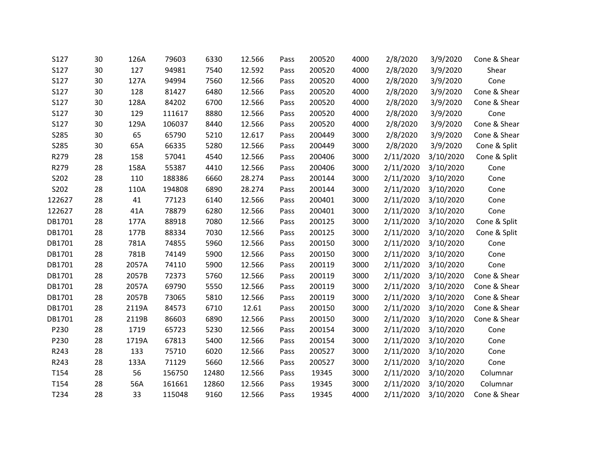| S127   | 30 | 126A  | 79603  | 6330  | 12.566 | Pass | 200520 | 4000 | 2/8/2020  | 3/9/2020  | Cone & Shear |
|--------|----|-------|--------|-------|--------|------|--------|------|-----------|-----------|--------------|
| S127   | 30 | 127   | 94981  | 7540  | 12.592 | Pass | 200520 | 4000 | 2/8/2020  | 3/9/2020  | Shear        |
| S127   | 30 | 127A  | 94994  | 7560  | 12.566 | Pass | 200520 | 4000 | 2/8/2020  | 3/9/2020  | Cone         |
| S127   | 30 | 128   | 81427  | 6480  | 12.566 | Pass | 200520 | 4000 | 2/8/2020  | 3/9/2020  | Cone & Shear |
| S127   | 30 | 128A  | 84202  | 6700  | 12.566 | Pass | 200520 | 4000 | 2/8/2020  | 3/9/2020  | Cone & Shear |
| S127   | 30 | 129   | 111617 | 8880  | 12.566 | Pass | 200520 | 4000 | 2/8/2020  | 3/9/2020  | Cone         |
| S127   | 30 | 129A  | 106037 | 8440  | 12.566 | Pass | 200520 | 4000 | 2/8/2020  | 3/9/2020  | Cone & Shear |
| S285   | 30 | 65    | 65790  | 5210  | 12.617 | Pass | 200449 | 3000 | 2/8/2020  | 3/9/2020  | Cone & Shear |
| S285   | 30 | 65A   | 66335  | 5280  | 12.566 | Pass | 200449 | 3000 | 2/8/2020  | 3/9/2020  | Cone & Split |
| R279   | 28 | 158   | 57041  | 4540  | 12.566 | Pass | 200406 | 3000 | 2/11/2020 | 3/10/2020 | Cone & Split |
| R279   | 28 | 158A  | 55387  | 4410  | 12.566 | Pass | 200406 | 3000 | 2/11/2020 | 3/10/2020 | Cone         |
| S202   | 28 | 110   | 188386 | 6660  | 28.274 | Pass | 200144 | 3000 | 2/11/2020 | 3/10/2020 | Cone         |
| S202   | 28 | 110A  | 194808 | 6890  | 28.274 | Pass | 200144 | 3000 | 2/11/2020 | 3/10/2020 | Cone         |
| 122627 | 28 | 41    | 77123  | 6140  | 12.566 | Pass | 200401 | 3000 | 2/11/2020 | 3/10/2020 | Cone         |
| 122627 | 28 | 41A   | 78879  | 6280  | 12.566 | Pass | 200401 | 3000 | 2/11/2020 | 3/10/2020 | Cone         |
| DB1701 | 28 | 177A  | 88918  | 7080  | 12.566 | Pass | 200125 | 3000 | 2/11/2020 | 3/10/2020 | Cone & Split |
| DB1701 | 28 | 177B  | 88334  | 7030  | 12.566 | Pass | 200125 | 3000 | 2/11/2020 | 3/10/2020 | Cone & Split |
| DB1701 | 28 | 781A  | 74855  | 5960  | 12.566 | Pass | 200150 | 3000 | 2/11/2020 | 3/10/2020 | Cone         |
| DB1701 | 28 | 781B  | 74149  | 5900  | 12.566 | Pass | 200150 | 3000 | 2/11/2020 | 3/10/2020 | Cone         |
| DB1701 | 28 | 2057A | 74110  | 5900  | 12.566 | Pass | 200119 | 3000 | 2/11/2020 | 3/10/2020 | Cone         |
| DB1701 | 28 | 2057B | 72373  | 5760  | 12.566 | Pass | 200119 | 3000 | 2/11/2020 | 3/10/2020 | Cone & Shear |
| DB1701 | 28 | 2057A | 69790  | 5550  | 12.566 | Pass | 200119 | 3000 | 2/11/2020 | 3/10/2020 | Cone & Shear |
| DB1701 | 28 | 2057B | 73065  | 5810  | 12.566 | Pass | 200119 | 3000 | 2/11/2020 | 3/10/2020 | Cone & Shear |
| DB1701 | 28 | 2119A | 84573  | 6710  | 12.61  | Pass | 200150 | 3000 | 2/11/2020 | 3/10/2020 | Cone & Shear |
| DB1701 | 28 | 2119B | 86603  | 6890  | 12.566 | Pass | 200150 | 3000 | 2/11/2020 | 3/10/2020 | Cone & Shear |
| P230   | 28 | 1719  | 65723  | 5230  | 12.566 | Pass | 200154 | 3000 | 2/11/2020 | 3/10/2020 | Cone         |
| P230   | 28 | 1719A | 67813  | 5400  | 12.566 | Pass | 200154 | 3000 | 2/11/2020 | 3/10/2020 | Cone         |
| R243   | 28 | 133   | 75710  | 6020  | 12.566 | Pass | 200527 | 3000 | 2/11/2020 | 3/10/2020 | Cone         |
| R243   | 28 | 133A  | 71129  | 5660  | 12.566 | Pass | 200527 | 3000 | 2/11/2020 | 3/10/2020 | Cone         |
| T154   | 28 | 56    | 156750 | 12480 | 12.566 | Pass | 19345  | 3000 | 2/11/2020 | 3/10/2020 | Columnar     |
| T154   | 28 | 56A   | 161661 | 12860 | 12.566 | Pass | 19345  | 3000 | 2/11/2020 | 3/10/2020 | Columnar     |
| T234   | 28 | 33    | 115048 | 9160  | 12.566 | Pass | 19345  | 4000 | 2/11/2020 | 3/10/2020 | Cone & Shear |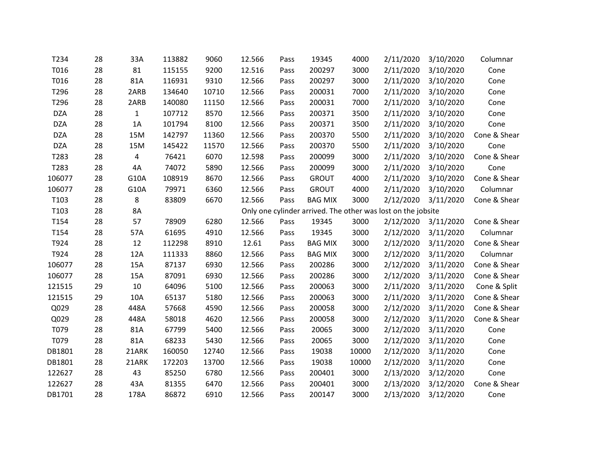| T234       | 28 | 33A          | 113882 | 9060  | 12.566 | Pass | 19345          | 4000  | 2/11/2020                                                    | 3/10/2020 | Columnar     |
|------------|----|--------------|--------|-------|--------|------|----------------|-------|--------------------------------------------------------------|-----------|--------------|
| T016       | 28 | 81           | 115155 | 9200  | 12.516 | Pass | 200297         | 3000  | 2/11/2020                                                    | 3/10/2020 | Cone         |
| T016       | 28 | 81A          | 116931 | 9310  | 12.566 | Pass | 200297         | 3000  | 2/11/2020                                                    | 3/10/2020 | Cone         |
| T296       | 28 | 2ARB         | 134640 | 10710 | 12.566 | Pass | 200031         | 7000  | 2/11/2020                                                    | 3/10/2020 | Cone         |
| T296       | 28 | 2ARB         | 140080 | 11150 | 12.566 | Pass | 200031         | 7000  | 2/11/2020                                                    | 3/10/2020 | Cone         |
| <b>DZA</b> | 28 | $\mathbf{1}$ | 107712 | 8570  | 12.566 | Pass | 200371         | 3500  | 2/11/2020                                                    | 3/10/2020 | Cone         |
| <b>DZA</b> | 28 | 1A           | 101794 | 8100  | 12.566 | Pass | 200371         | 3500  | 2/11/2020                                                    | 3/10/2020 | Cone         |
| <b>DZA</b> | 28 | 15M          | 142797 | 11360 | 12.566 | Pass | 200370         | 5500  | 2/11/2020                                                    | 3/10/2020 | Cone & Shear |
| <b>DZA</b> | 28 | 15M          | 145422 | 11570 | 12.566 | Pass | 200370         | 5500  | 2/11/2020                                                    | 3/10/2020 | Cone         |
| T283       | 28 | 4            | 76421  | 6070  | 12.598 | Pass | 200099         | 3000  | 2/11/2020                                                    | 3/10/2020 | Cone & Shear |
| T283       | 28 | 4A           | 74072  | 5890  | 12.566 | Pass | 200099         | 3000  | 2/11/2020                                                    | 3/10/2020 | Cone         |
| 106077     | 28 | G10A         | 108919 | 8670  | 12.566 | Pass | <b>GROUT</b>   | 4000  | 2/11/2020                                                    | 3/10/2020 | Cone & Shear |
| 106077     | 28 | G10A         | 79971  | 6360  | 12.566 | Pass | <b>GROUT</b>   | 4000  | 2/11/2020                                                    | 3/10/2020 | Columnar     |
| T103       | 28 | 8            | 83809  | 6670  | 12.566 | Pass | <b>BAG MIX</b> | 3000  | 2/12/2020                                                    | 3/11/2020 | Cone & Shear |
| T103       | 28 | 8A           |        |       |        |      |                |       | Only one cylinder arrived. The other was lost on the jobsite |           |              |
| T154       | 28 | 57           | 78909  | 6280  | 12.566 | Pass | 19345          | 3000  | 2/12/2020                                                    | 3/11/2020 | Cone & Shear |
| T154       | 28 | 57A          | 61695  | 4910  | 12.566 | Pass | 19345          | 3000  | 2/12/2020                                                    | 3/11/2020 | Columnar     |
| T924       | 28 | 12           | 112298 | 8910  | 12.61  | Pass | <b>BAG MIX</b> | 3000  | 2/12/2020                                                    | 3/11/2020 | Cone & Shear |
| T924       | 28 | 12A          | 111333 | 8860  | 12.566 | Pass | <b>BAG MIX</b> | 3000  | 2/12/2020                                                    | 3/11/2020 | Columnar     |
| 106077     | 28 | 15A          | 87137  | 6930  | 12.566 | Pass | 200286         | 3000  | 2/12/2020                                                    | 3/11/2020 | Cone & Shear |
| 106077     | 28 | 15A          | 87091  | 6930  | 12.566 | Pass | 200286         | 3000  | 2/12/2020                                                    | 3/11/2020 | Cone & Shear |
| 121515     | 29 | 10           | 64096  | 5100  | 12.566 | Pass | 200063         | 3000  | 2/11/2020                                                    | 3/11/2020 | Cone & Split |
| 121515     | 29 | 10A          | 65137  | 5180  | 12.566 | Pass | 200063         | 3000  | 2/11/2020                                                    | 3/11/2020 | Cone & Shear |
| Q029       | 28 | 448A         | 57668  | 4590  | 12.566 | Pass | 200058         | 3000  | 2/12/2020                                                    | 3/11/2020 | Cone & Shear |
| Q029       | 28 | 448A         | 58018  | 4620  | 12.566 | Pass | 200058         | 3000  | 2/12/2020                                                    | 3/11/2020 | Cone & Shear |
| T079       | 28 | 81A          | 67799  | 5400  | 12.566 | Pass | 20065          | 3000  | 2/12/2020                                                    | 3/11/2020 | Cone         |
| T079       | 28 | 81A          | 68233  | 5430  | 12.566 | Pass | 20065          | 3000  | 2/12/2020                                                    | 3/11/2020 | Cone         |
| DB1801     | 28 | 21ARK        | 160050 | 12740 | 12.566 | Pass | 19038          | 10000 | 2/12/2020                                                    | 3/11/2020 | Cone         |
| DB1801     | 28 | 21ARK        | 172203 | 13700 | 12.566 | Pass | 19038          | 10000 | 2/12/2020                                                    | 3/11/2020 | Cone         |
| 122627     | 28 | 43           | 85250  | 6780  | 12.566 | Pass | 200401         | 3000  | 2/13/2020                                                    | 3/12/2020 | Cone         |
| 122627     | 28 | 43A          | 81355  | 6470  | 12.566 | Pass | 200401         | 3000  | 2/13/2020                                                    | 3/12/2020 | Cone & Shear |
| DB1701     | 28 | 178A         | 86872  | 6910  | 12.566 | Pass | 200147         | 3000  | 2/13/2020                                                    | 3/12/2020 | Cone         |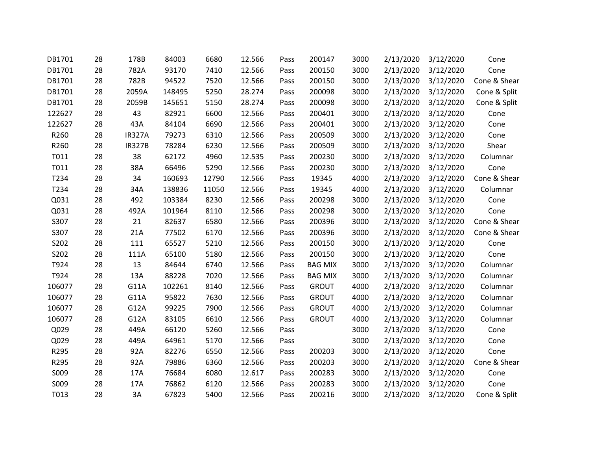| DB1701 | 28 | 178B          | 84003  | 6680  | 12.566 | Pass | 200147         | 3000 | 2/13/2020 | 3/12/2020 | Cone         |
|--------|----|---------------|--------|-------|--------|------|----------------|------|-----------|-----------|--------------|
| DB1701 | 28 | 782A          | 93170  | 7410  | 12.566 | Pass | 200150         | 3000 | 2/13/2020 | 3/12/2020 | Cone         |
| DB1701 | 28 | 782B          | 94522  | 7520  | 12.566 | Pass | 200150         | 3000 | 2/13/2020 | 3/12/2020 | Cone & Shear |
| DB1701 | 28 | 2059A         | 148495 | 5250  | 28.274 | Pass | 200098         | 3000 | 2/13/2020 | 3/12/2020 | Cone & Split |
| DB1701 | 28 | 2059B         | 145651 | 5150  | 28.274 | Pass | 200098         | 3000 | 2/13/2020 | 3/12/2020 | Cone & Split |
| 122627 | 28 | 43            | 82921  | 6600  | 12.566 | Pass | 200401         | 3000 | 2/13/2020 | 3/12/2020 | Cone         |
| 122627 | 28 | 43A           | 84104  | 6690  | 12.566 | Pass | 200401         | 3000 | 2/13/2020 | 3/12/2020 | Cone         |
| R260   | 28 | <b>IR327A</b> | 79273  | 6310  | 12.566 | Pass | 200509         | 3000 | 2/13/2020 | 3/12/2020 | Cone         |
| R260   | 28 | <b>IR327B</b> | 78284  | 6230  | 12.566 | Pass | 200509         | 3000 | 2/13/2020 | 3/12/2020 | Shear        |
| T011   | 28 | 38            | 62172  | 4960  | 12.535 | Pass | 200230         | 3000 | 2/13/2020 | 3/12/2020 | Columnar     |
| T011   | 28 | 38A           | 66496  | 5290  | 12.566 | Pass | 200230         | 3000 | 2/13/2020 | 3/12/2020 | Cone         |
| T234   | 28 | 34            | 160693 | 12790 | 12.566 | Pass | 19345          | 4000 | 2/13/2020 | 3/12/2020 | Cone & Shear |
| T234   | 28 | 34A           | 138836 | 11050 | 12.566 | Pass | 19345          | 4000 | 2/13/2020 | 3/12/2020 | Columnar     |
| Q031   | 28 | 492           | 103384 | 8230  | 12.566 | Pass | 200298         | 3000 | 2/13/2020 | 3/12/2020 | Cone         |
| Q031   | 28 | 492A          | 101964 | 8110  | 12.566 | Pass | 200298         | 3000 | 2/13/2020 | 3/12/2020 | Cone         |
| S307   | 28 | 21            | 82637  | 6580  | 12.566 | Pass | 200396         | 3000 | 2/13/2020 | 3/12/2020 | Cone & Shear |
| S307   | 28 | 21A           | 77502  | 6170  | 12.566 | Pass | 200396         | 3000 | 2/13/2020 | 3/12/2020 | Cone & Shear |
| S202   | 28 | 111           | 65527  | 5210  | 12.566 | Pass | 200150         | 3000 | 2/13/2020 | 3/12/2020 | Cone         |
| S202   | 28 | 111A          | 65100  | 5180  | 12.566 | Pass | 200150         | 3000 | 2/13/2020 | 3/12/2020 | Cone         |
| T924   | 28 | 13            | 84644  | 6740  | 12.566 | Pass | <b>BAG MIX</b> | 3000 | 2/13/2020 | 3/12/2020 | Columnar     |
| T924   | 28 | 13A           | 88228  | 7020  | 12.566 | Pass | <b>BAG MIX</b> | 3000 | 2/13/2020 | 3/12/2020 | Columnar     |
| 106077 | 28 | G11A          | 102261 | 8140  | 12.566 | Pass | <b>GROUT</b>   | 4000 | 2/13/2020 | 3/12/2020 | Columnar     |
| 106077 | 28 | G11A          | 95822  | 7630  | 12.566 | Pass | <b>GROUT</b>   | 4000 | 2/13/2020 | 3/12/2020 | Columnar     |
| 106077 | 28 | G12A          | 99225  | 7900  | 12.566 | Pass | <b>GROUT</b>   | 4000 | 2/13/2020 | 3/12/2020 | Columnar     |
| 106077 | 28 | G12A          | 83105  | 6610  | 12.566 | Pass | <b>GROUT</b>   | 4000 | 2/13/2020 | 3/12/2020 | Columnar     |
| Q029   | 28 | 449A          | 66120  | 5260  | 12.566 | Pass |                | 3000 | 2/13/2020 | 3/12/2020 | Cone         |
| Q029   | 28 | 449A          | 64961  | 5170  | 12.566 | Pass |                | 3000 | 2/13/2020 | 3/12/2020 | Cone         |
| R295   | 28 | 92A           | 82276  | 6550  | 12.566 | Pass | 200203         | 3000 | 2/13/2020 | 3/12/2020 | Cone         |
| R295   | 28 | 92A           | 79886  | 6360  | 12.566 | Pass | 200203         | 3000 | 2/13/2020 | 3/12/2020 | Cone & Shear |
| S009   | 28 | 17A           | 76684  | 6080  | 12.617 | Pass | 200283         | 3000 | 2/13/2020 | 3/12/2020 | Cone         |
| S009   | 28 | 17A           | 76862  | 6120  | 12.566 | Pass | 200283         | 3000 | 2/13/2020 | 3/12/2020 | Cone         |
| T013   | 28 | 3A            | 67823  | 5400  | 12.566 | Pass | 200216         | 3000 | 2/13/2020 | 3/12/2020 | Cone & Split |